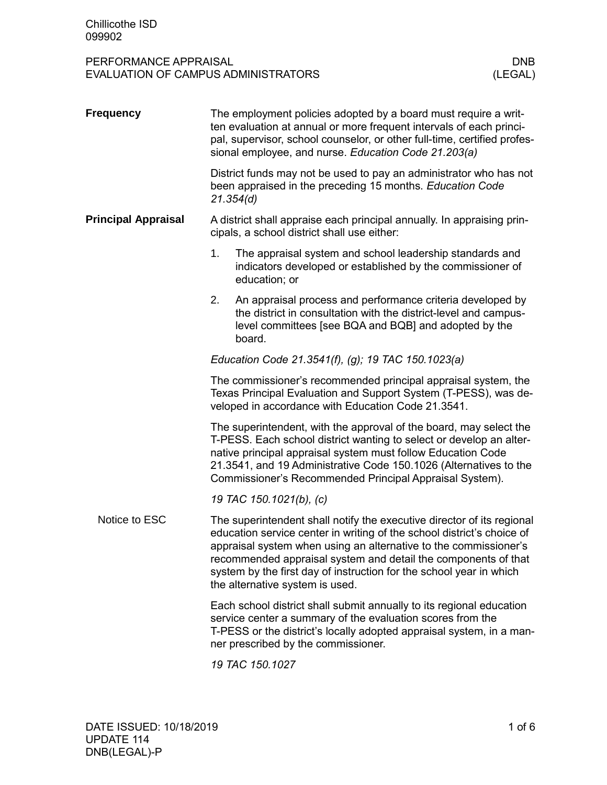| <b>Frequency</b>           | The employment policies adopted by a board must require a writ-<br>ten evaluation at annual or more frequent intervals of each princi-<br>pal, supervisor, school counselor, or other full-time, certified profes-<br>sional employee, and nurse. Education Code 21.203(a)                                                                                                                       |  |  |  |  |
|----------------------------|--------------------------------------------------------------------------------------------------------------------------------------------------------------------------------------------------------------------------------------------------------------------------------------------------------------------------------------------------------------------------------------------------|--|--|--|--|
|                            | District funds may not be used to pay an administrator who has not<br>been appraised in the preceding 15 months. Education Code<br>21.354(d)                                                                                                                                                                                                                                                     |  |  |  |  |
| <b>Principal Appraisal</b> | A district shall appraise each principal annually. In appraising prin-<br>cipals, a school district shall use either:                                                                                                                                                                                                                                                                            |  |  |  |  |
|                            | 1.<br>The appraisal system and school leadership standards and<br>indicators developed or established by the commissioner of<br>education; or                                                                                                                                                                                                                                                    |  |  |  |  |
|                            | 2.<br>An appraisal process and performance criteria developed by<br>the district in consultation with the district-level and campus-<br>level committees [see BQA and BQB] and adopted by the<br>board.                                                                                                                                                                                          |  |  |  |  |
|                            | Education Code 21.3541(f), (g); 19 TAC 150.1023(a)                                                                                                                                                                                                                                                                                                                                               |  |  |  |  |
|                            | The commissioner's recommended principal appraisal system, the<br>Texas Principal Evaluation and Support System (T-PESS), was de-<br>veloped in accordance with Education Code 21.3541.                                                                                                                                                                                                          |  |  |  |  |
|                            | The superintendent, with the approval of the board, may select the<br>T-PESS. Each school district wanting to select or develop an alter-<br>native principal appraisal system must follow Education Code<br>21.3541, and 19 Administrative Code 150.1026 (Alternatives to the<br>Commissioner's Recommended Principal Appraisal System).                                                        |  |  |  |  |
|                            | 19 TAC 150.1021(b), (c)                                                                                                                                                                                                                                                                                                                                                                          |  |  |  |  |
| Notice to ESC              | The superintendent shall notify the executive director of its regional<br>education service center in writing of the school district's choice of<br>appraisal system when using an alternative to the commissioner's<br>recommended appraisal system and detail the components of that<br>system by the first day of instruction for the school year in which<br>the alternative system is used. |  |  |  |  |
|                            | Each school district shall submit annually to its regional education<br>service center a summary of the evaluation scores from the<br>T-PESS or the district's locally adopted appraisal system, in a man-<br>ner prescribed by the commissioner.                                                                                                                                                |  |  |  |  |
|                            | 19 TAC 150.1027                                                                                                                                                                                                                                                                                                                                                                                  |  |  |  |  |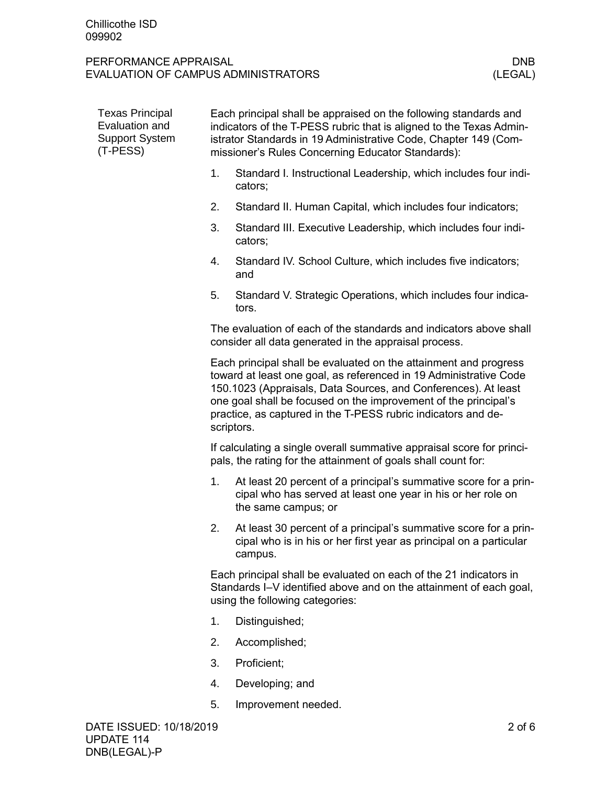| <b>Texas Principal</b><br>Evaluation and<br><b>Support System</b><br>(T-PESS) |                                                                                                                                                                            | Each principal shall be appraised on the following standards and<br>indicators of the T-PESS rubric that is aligned to the Texas Admin-<br>istrator Standards in 19 Administrative Code, Chapter 149 (Com-<br>missioner's Rules Concerning Educator Standards):                                                                                           |  |  |
|-------------------------------------------------------------------------------|----------------------------------------------------------------------------------------------------------------------------------------------------------------------------|-----------------------------------------------------------------------------------------------------------------------------------------------------------------------------------------------------------------------------------------------------------------------------------------------------------------------------------------------------------|--|--|
|                                                                               | 1.                                                                                                                                                                         | Standard I. Instructional Leadership, which includes four indi-<br>cators;                                                                                                                                                                                                                                                                                |  |  |
|                                                                               | 2.                                                                                                                                                                         | Standard II. Human Capital, which includes four indicators;                                                                                                                                                                                                                                                                                               |  |  |
|                                                                               | 3.                                                                                                                                                                         | Standard III. Executive Leadership, which includes four indi-<br>cators;                                                                                                                                                                                                                                                                                  |  |  |
|                                                                               | 4.                                                                                                                                                                         | Standard IV. School Culture, which includes five indicators;<br>and                                                                                                                                                                                                                                                                                       |  |  |
|                                                                               | 5.                                                                                                                                                                         | Standard V. Strategic Operations, which includes four indica-<br>tors.                                                                                                                                                                                                                                                                                    |  |  |
|                                                                               |                                                                                                                                                                            | The evaluation of each of the standards and indicators above shall<br>consider all data generated in the appraisal process.                                                                                                                                                                                                                               |  |  |
|                                                                               |                                                                                                                                                                            | Each principal shall be evaluated on the attainment and progress<br>toward at least one goal, as referenced in 19 Administrative Code<br>150.1023 (Appraisals, Data Sources, and Conferences). At least<br>one goal shall be focused on the improvement of the principal's<br>practice, as captured in the T-PESS rubric indicators and de-<br>scriptors. |  |  |
|                                                                               |                                                                                                                                                                            | If calculating a single overall summative appraisal score for princi-<br>pals, the rating for the attainment of goals shall count for:                                                                                                                                                                                                                    |  |  |
|                                                                               | 1.                                                                                                                                                                         | At least 20 percent of a principal's summative score for a prin-<br>cipal who has served at least one year in his or her role on<br>the same campus; or                                                                                                                                                                                                   |  |  |
|                                                                               | 2.                                                                                                                                                                         | At least 30 percent of a principal's summative score for a prin-<br>cipal who is in his or her first year as principal on a particular<br>campus.                                                                                                                                                                                                         |  |  |
|                                                                               | Each principal shall be evaluated on each of the 21 indicators in<br>Standards I-V identified above and on the attainment of each goal,<br>using the following categories: |                                                                                                                                                                                                                                                                                                                                                           |  |  |
|                                                                               | 1.                                                                                                                                                                         | Distinguished;                                                                                                                                                                                                                                                                                                                                            |  |  |
|                                                                               | 2.                                                                                                                                                                         | Accomplished;                                                                                                                                                                                                                                                                                                                                             |  |  |
|                                                                               | 3.                                                                                                                                                                         | Proficient;                                                                                                                                                                                                                                                                                                                                               |  |  |
|                                                                               | 4.                                                                                                                                                                         | Developing; and                                                                                                                                                                                                                                                                                                                                           |  |  |
|                                                                               | 5.                                                                                                                                                                         | Improvement needed.                                                                                                                                                                                                                                                                                                                                       |  |  |
| DATE ISSUED: 10/18/2019                                                       |                                                                                                                                                                            | $2$ of $6$                                                                                                                                                                                                                                                                                                                                                |  |  |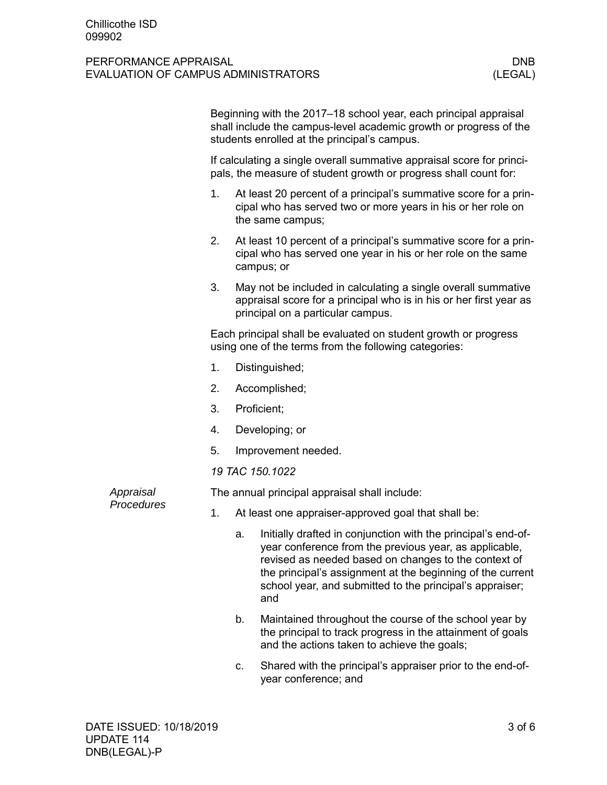|  |                         |                                                                                                                                           | Beginning with the 2017–18 school year, each principal appraisal<br>shall include the campus-level academic growth or progress of the<br>students enrolled at the principal's campus. |                                                                                                                                                                                                                                                                                                                 |  |  |
|--|-------------------------|-------------------------------------------------------------------------------------------------------------------------------------------|---------------------------------------------------------------------------------------------------------------------------------------------------------------------------------------|-----------------------------------------------------------------------------------------------------------------------------------------------------------------------------------------------------------------------------------------------------------------------------------------------------------------|--|--|
|  |                         | If calculating a single overall summative appraisal score for princi-<br>pals, the measure of student growth or progress shall count for: |                                                                                                                                                                                       |                                                                                                                                                                                                                                                                                                                 |  |  |
|  |                         | 1.                                                                                                                                        |                                                                                                                                                                                       | At least 20 percent of a principal's summative score for a prin-<br>cipal who has served two or more years in his or her role on<br>the same campus;                                                                                                                                                            |  |  |
|  |                         | 2.                                                                                                                                        |                                                                                                                                                                                       | At least 10 percent of a principal's summative score for a prin-<br>cipal who has served one year in his or her role on the same<br>campus; or                                                                                                                                                                  |  |  |
|  |                         | 3.                                                                                                                                        |                                                                                                                                                                                       | May not be included in calculating a single overall summative<br>appraisal score for a principal who is in his or her first year as<br>principal on a particular campus.                                                                                                                                        |  |  |
|  |                         |                                                                                                                                           |                                                                                                                                                                                       | Each principal shall be evaluated on student growth or progress<br>using one of the terms from the following categories:                                                                                                                                                                                        |  |  |
|  |                         | 1.                                                                                                                                        |                                                                                                                                                                                       | Distinguished;                                                                                                                                                                                                                                                                                                  |  |  |
|  |                         | 2.                                                                                                                                        |                                                                                                                                                                                       | Accomplished;                                                                                                                                                                                                                                                                                                   |  |  |
|  |                         | 3.                                                                                                                                        | Proficient;                                                                                                                                                                           |                                                                                                                                                                                                                                                                                                                 |  |  |
|  |                         | 4.                                                                                                                                        |                                                                                                                                                                                       | Developing; or                                                                                                                                                                                                                                                                                                  |  |  |
|  |                         | 5.                                                                                                                                        |                                                                                                                                                                                       | Improvement needed.                                                                                                                                                                                                                                                                                             |  |  |
|  |                         | 19 TAC 150.1022                                                                                                                           |                                                                                                                                                                                       |                                                                                                                                                                                                                                                                                                                 |  |  |
|  | Appraisal<br>Procedures | The annual principal appraisal shall include:                                                                                             |                                                                                                                                                                                       |                                                                                                                                                                                                                                                                                                                 |  |  |
|  |                         | 1.                                                                                                                                        |                                                                                                                                                                                       | At least one appraiser-approved goal that shall be:                                                                                                                                                                                                                                                             |  |  |
|  |                         |                                                                                                                                           | a.                                                                                                                                                                                    | Initially drafted in conjunction with the principal's end-of-<br>year conference from the previous year, as applicable<br>revised as needed based on changes to the context of<br>the principal's assignment at the beginning of the current<br>school year, and submitted to the principal's appraiser;<br>and |  |  |
|  |                         |                                                                                                                                           | b.                                                                                                                                                                                    | Maintained throughout the course of the school year by<br>the principal to track progress in the attainment of goals<br>and the actions taken to achieve the goals;                                                                                                                                             |  |  |
|  |                         |                                                                                                                                           |                                                                                                                                                                                       |                                                                                                                                                                                                                                                                                                                 |  |  |

c. Shared with the principal's appraiser prior to the end-ofyear conference; and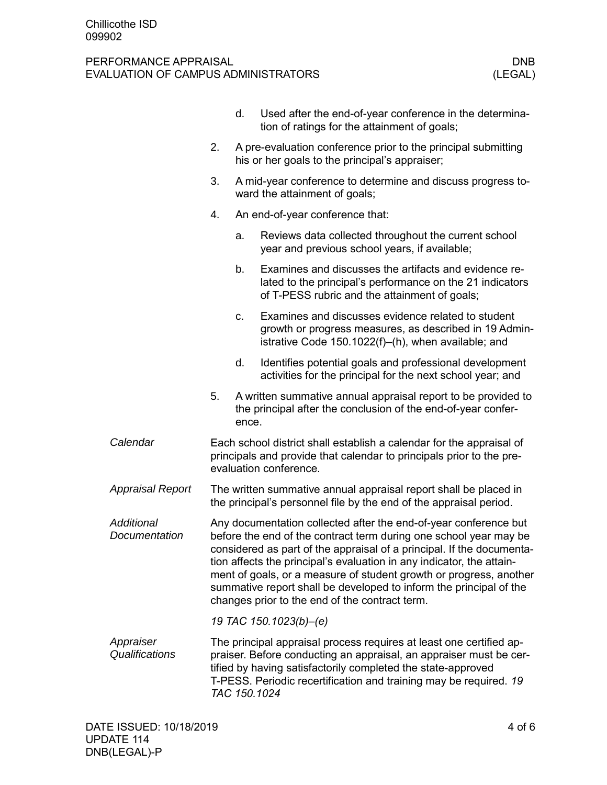|                             |                                                                                                                                                                                                                                                                                                                                                                                                                                                                                       | d.    | Used after the end-of-year conference in the determina-<br>tion of ratings for the attainment of goals;                                                                                                                                                                                        |  |  |  |
|-----------------------------|---------------------------------------------------------------------------------------------------------------------------------------------------------------------------------------------------------------------------------------------------------------------------------------------------------------------------------------------------------------------------------------------------------------------------------------------------------------------------------------|-------|------------------------------------------------------------------------------------------------------------------------------------------------------------------------------------------------------------------------------------------------------------------------------------------------|--|--|--|
|                             | 2.                                                                                                                                                                                                                                                                                                                                                                                                                                                                                    |       | A pre-evaluation conference prior to the principal submitting<br>his or her goals to the principal's appraiser;                                                                                                                                                                                |  |  |  |
|                             | 3.                                                                                                                                                                                                                                                                                                                                                                                                                                                                                    |       | A mid-year conference to determine and discuss progress to-<br>ward the attainment of goals;                                                                                                                                                                                                   |  |  |  |
|                             | 4.                                                                                                                                                                                                                                                                                                                                                                                                                                                                                    |       | An end-of-year conference that:                                                                                                                                                                                                                                                                |  |  |  |
|                             |                                                                                                                                                                                                                                                                                                                                                                                                                                                                                       | a.    | Reviews data collected throughout the current school<br>year and previous school years, if available;                                                                                                                                                                                          |  |  |  |
|                             |                                                                                                                                                                                                                                                                                                                                                                                                                                                                                       | b.    | Examines and discusses the artifacts and evidence re-<br>lated to the principal's performance on the 21 indicators<br>of T-PESS rubric and the attainment of goals;                                                                                                                            |  |  |  |
|                             |                                                                                                                                                                                                                                                                                                                                                                                                                                                                                       | C.    | Examines and discusses evidence related to student<br>growth or progress measures, as described in 19 Admin-<br>istrative Code 150.1022(f)-(h), when available; and                                                                                                                            |  |  |  |
|                             |                                                                                                                                                                                                                                                                                                                                                                                                                                                                                       | d.    | Identifies potential goals and professional development<br>activities for the principal for the next school year; and                                                                                                                                                                          |  |  |  |
|                             | 5.                                                                                                                                                                                                                                                                                                                                                                                                                                                                                    | ence. | A written summative annual appraisal report to be provided to<br>the principal after the conclusion of the end-of-year confer-                                                                                                                                                                 |  |  |  |
| Calendar                    | Each school district shall establish a calendar for the appraisal of<br>principals and provide that calendar to principals prior to the pre-<br>evaluation conference.                                                                                                                                                                                                                                                                                                                |       |                                                                                                                                                                                                                                                                                                |  |  |  |
| <b>Appraisal Report</b>     | The written summative annual appraisal report shall be placed in<br>the principal's personnel file by the end of the appraisal period.                                                                                                                                                                                                                                                                                                                                                |       |                                                                                                                                                                                                                                                                                                |  |  |  |
| Additional<br>Documentation | Any documentation collected after the end-of-year conference but<br>before the end of the contract term during one school year may be<br>considered as part of the appraisal of a principal. If the documenta-<br>tion affects the principal's evaluation in any indicator, the attain-<br>ment of goals, or a measure of student growth or progress, another<br>summative report shall be developed to inform the principal of the<br>changes prior to the end of the contract term. |       |                                                                                                                                                                                                                                                                                                |  |  |  |
|                             |                                                                                                                                                                                                                                                                                                                                                                                                                                                                                       |       | 19 TAC 150.1023(b)-(e)                                                                                                                                                                                                                                                                         |  |  |  |
| Appraiser<br>Qualifications |                                                                                                                                                                                                                                                                                                                                                                                                                                                                                       |       | The principal appraisal process requires at least one certified ap-<br>praiser. Before conducting an appraisal, an appraiser must be cer-<br>tified by having satisfactorily completed the state-approved<br>T-PESS. Periodic recertification and training may be required. 19<br>TAC 150.1024 |  |  |  |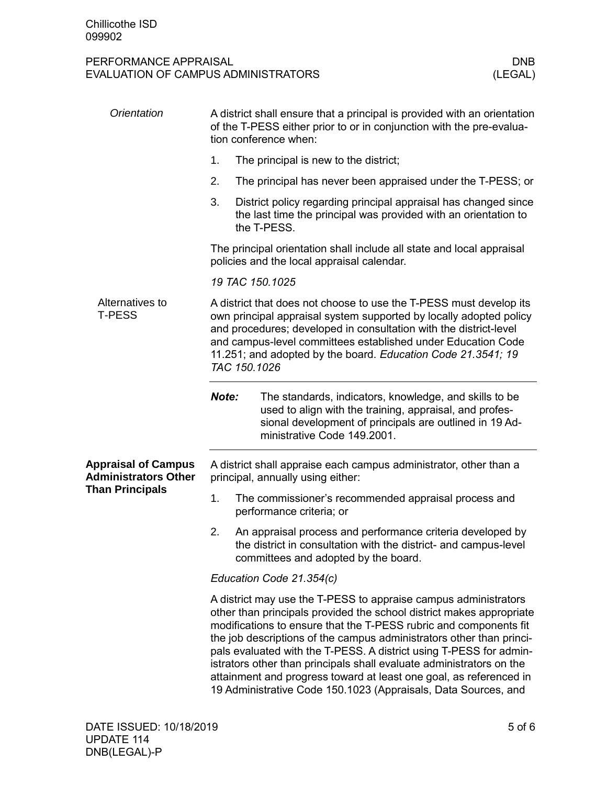| Orientation                                               | A district shall ensure that a principal is provided with an orientation<br>of the T-PESS either prior to or in conjunction with the pre-evalua-<br>tion conference when:                                                                                                                                                                                                                                                                                                                                                                                                  |                                                                                                                                                                                                             |  |  |  |  |
|-----------------------------------------------------------|----------------------------------------------------------------------------------------------------------------------------------------------------------------------------------------------------------------------------------------------------------------------------------------------------------------------------------------------------------------------------------------------------------------------------------------------------------------------------------------------------------------------------------------------------------------------------|-------------------------------------------------------------------------------------------------------------------------------------------------------------------------------------------------------------|--|--|--|--|
|                                                           | 1.                                                                                                                                                                                                                                                                                                                                                                                                                                                                                                                                                                         | The principal is new to the district;                                                                                                                                                                       |  |  |  |  |
|                                                           | 2.                                                                                                                                                                                                                                                                                                                                                                                                                                                                                                                                                                         | The principal has never been appraised under the T-PESS; or                                                                                                                                                 |  |  |  |  |
|                                                           | 3.                                                                                                                                                                                                                                                                                                                                                                                                                                                                                                                                                                         | District policy regarding principal appraisal has changed since<br>the last time the principal was provided with an orientation to<br>the T-PESS.                                                           |  |  |  |  |
|                                                           | The principal orientation shall include all state and local appraisal<br>policies and the local appraisal calendar.                                                                                                                                                                                                                                                                                                                                                                                                                                                        |                                                                                                                                                                                                             |  |  |  |  |
|                                                           | 19 TAC 150.1025                                                                                                                                                                                                                                                                                                                                                                                                                                                                                                                                                            |                                                                                                                                                                                                             |  |  |  |  |
| Alternatives to<br><b>T-PESS</b>                          | A district that does not choose to use the T-PESS must develop its<br>own principal appraisal system supported by locally adopted policy<br>and procedures; developed in consultation with the district-level<br>and campus-level committees established under Education Code<br>11.251; and adopted by the board. Education Code 21.3541; 19<br>TAC 150.1026                                                                                                                                                                                                              |                                                                                                                                                                                                             |  |  |  |  |
|                                                           | Note:                                                                                                                                                                                                                                                                                                                                                                                                                                                                                                                                                                      | The standards, indicators, knowledge, and skills to be<br>used to align with the training, appraisal, and profes-<br>sional development of principals are outlined in 19 Ad-<br>ministrative Code 149.2001. |  |  |  |  |
| <b>Appraisal of Campus</b><br><b>Administrators Other</b> | A district shall appraise each campus administrator, other than a<br>principal, annually using either:                                                                                                                                                                                                                                                                                                                                                                                                                                                                     |                                                                                                                                                                                                             |  |  |  |  |
| <b>Than Principals</b>                                    | 1.                                                                                                                                                                                                                                                                                                                                                                                                                                                                                                                                                                         | The commissioner's recommended appraisal process and<br>performance criteria; or                                                                                                                            |  |  |  |  |
|                                                           | 2.                                                                                                                                                                                                                                                                                                                                                                                                                                                                                                                                                                         | An appraisal process and performance criteria developed by<br>the district in consultation with the district- and campus-level<br>committees and adopted by the board.                                      |  |  |  |  |
|                                                           | Education Code 21.354(c)                                                                                                                                                                                                                                                                                                                                                                                                                                                                                                                                                   |                                                                                                                                                                                                             |  |  |  |  |
|                                                           | A district may use the T-PESS to appraise campus administrators<br>other than principals provided the school district makes appropriate<br>modifications to ensure that the T-PESS rubric and components fit<br>the job descriptions of the campus administrators other than princi-<br>pals evaluated with the T-PESS. A district using T-PESS for admin-<br>istrators other than principals shall evaluate administrators on the<br>attainment and progress toward at least one goal, as referenced in<br>19 Administrative Code 150.1023 (Appraisals, Data Sources, and |                                                                                                                                                                                                             |  |  |  |  |